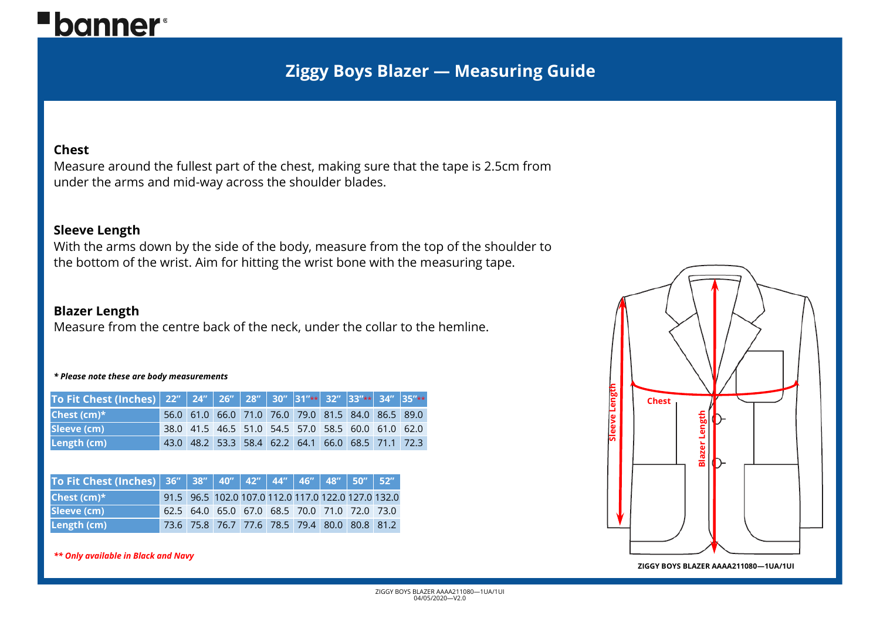# **"banner**®

# **Ziggy Boys Blazer — Measuring Guide**

## **Chest**

Measure around the fullest part of the chest, making sure that the tape is 2.5cm from under the arms and mid-way across the shoulder blades.

## **Sleeve Length**

With the arms down by the side of the body, measure from the top of the shoulder to the bottom of the wrist. Aim for hitting the wrist bone with the measuring tape.

# **Blazer Length**

Measure from the centre back of the neck, under the collar to the hemline.

### *\* Please note these are body measurements*

| To Fit Chest (Inches) 22" 24" 26" 28" 30" 31"** 32" 33"** 34" 35"** |  |  |  |                                                   |                                                   |
|---------------------------------------------------------------------|--|--|--|---------------------------------------------------|---------------------------------------------------|
| Chest (cm)*                                                         |  |  |  |                                                   | 56.0 61.0 66.0 71.0 76.0 79.0 81.5 84.0 86.5 89.0 |
| Sleeve (cm)                                                         |  |  |  | 38.0 41.5 46.5 51.0 54.5 57.0 58.5 60.0 61.0 62.0 |                                                   |
| Length (cm)                                                         |  |  |  |                                                   | 43.0 48.2 53.3 58.4 62.2 64.1 66.0 68.5 71.1 72.3 |

| To Fit Chest (Inches)   36"   38"   40"   42"   44"   46"   48"   50"   52" |  |                                                     |  |  |  |
|-----------------------------------------------------------------------------|--|-----------------------------------------------------|--|--|--|
| Chest $(cm)*$                                                               |  | 91.5 96.5 102.0 107.0 112.0 117.0 122.0 127.0 132.0 |  |  |  |
| Sleeve (cm)                                                                 |  | 62.5 64.0 65.0 67.0 68.5 70.0 71.0 72.0 73.0        |  |  |  |
| Length (cm)                                                                 |  | 73.6 75.8 76.7 77.6 78.5 79.4 80.0 80.8 81.2        |  |  |  |

### *\*\* Only available in Black and Navy*



#### **ZIGGY BOYS BLAZER AAAA211080—1UA/1UI**